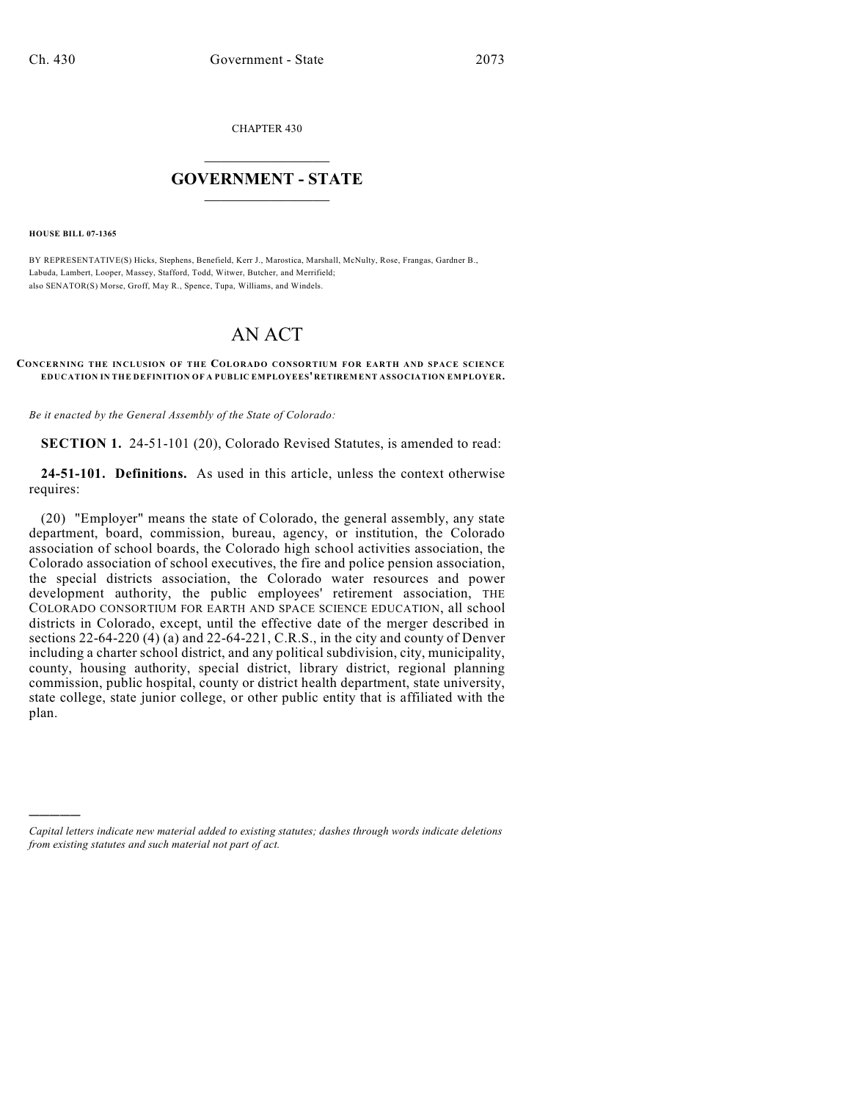CHAPTER 430

## $\mathcal{L}_\text{max}$  . The set of the set of the set of the set of the set of the set of the set of the set of the set of the set of the set of the set of the set of the set of the set of the set of the set of the set of the set **GOVERNMENT - STATE**  $\_$   $\_$

**HOUSE BILL 07-1365**

)))))

BY REPRESENTATIVE(S) Hicks, Stephens, Benefield, Kerr J., Marostica, Marshall, McNulty, Rose, Frangas, Gardner B., Labuda, Lambert, Looper, Massey, Stafford, Todd, Witwer, Butcher, and Merrifield; also SENATOR(S) Morse, Groff, May R., Spence, Tupa, Williams, and Windels.

## AN ACT

## **CONCERNING THE INCLUSION OF THE COLORADO CONSORTIUM FOR EARTH AND SPACE SCIENCE EDUCATION IN THE DEFINITION OF A PUBLIC EMPLOYEES' RETIREMENT ASSOCIATION EMPLOYER.**

*Be it enacted by the General Assembly of the State of Colorado:*

**SECTION 1.** 24-51-101 (20), Colorado Revised Statutes, is amended to read:

**24-51-101. Definitions.** As used in this article, unless the context otherwise requires:

(20) "Employer" means the state of Colorado, the general assembly, any state department, board, commission, bureau, agency, or institution, the Colorado association of school boards, the Colorado high school activities association, the Colorado association of school executives, the fire and police pension association, the special districts association, the Colorado water resources and power development authority, the public employees' retirement association, THE COLORADO CONSORTIUM FOR EARTH AND SPACE SCIENCE EDUCATION, all school districts in Colorado, except, until the effective date of the merger described in sections 22-64-220 (4) (a) and 22-64-221, C.R.S., in the city and county of Denver including a charter school district, and any political subdivision, city, municipality, county, housing authority, special district, library district, regional planning commission, public hospital, county or district health department, state university, state college, state junior college, or other public entity that is affiliated with the plan.

*Capital letters indicate new material added to existing statutes; dashes through words indicate deletions from existing statutes and such material not part of act.*